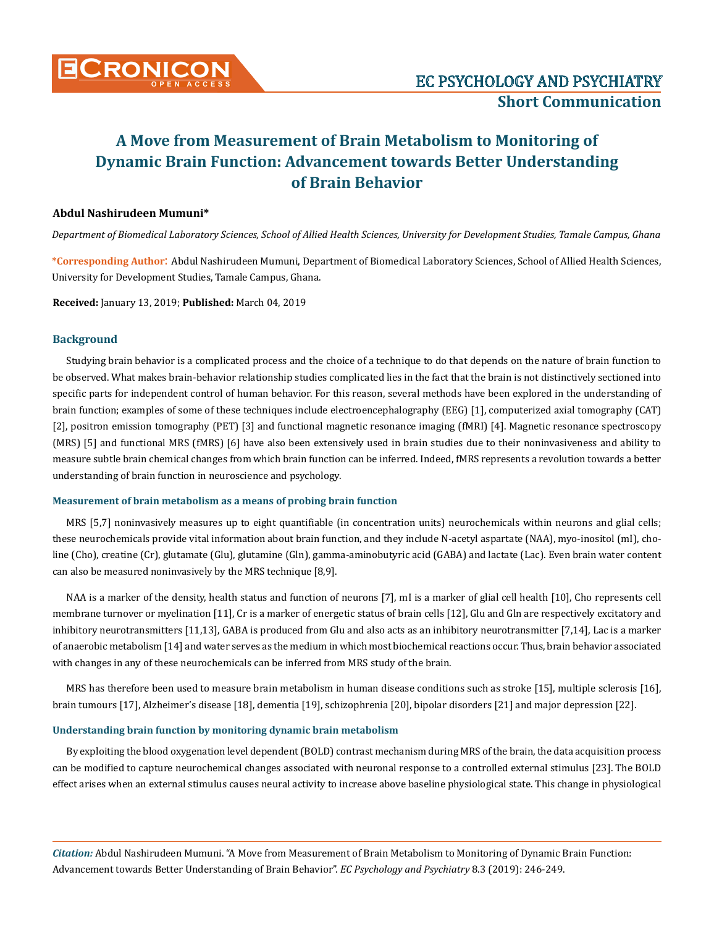

# **Abdul Nashirudeen Mumuni\***

*Department of Biomedical Laboratory Sciences, School of Allied Health Sciences, University for Development Studies, Tamale Campus, Ghana*

**\*Corresponding Author**: Abdul Nashirudeen Mumuni, Department of Biomedical Laboratory Sciences, School of Allied Health Sciences, University for Development Studies, Tamale Campus, Ghana.

**Received:** January 13, 2019; **Published:** March 04, 2019

## **Background**

Studying brain behavior is a complicated process and the choice of a technique to do that depends on the nature of brain function to be observed. What makes brain-behavior relationship studies complicated lies in the fact that the brain is not distinctively sectioned into specific parts for independent control of human behavior. For this reason, several methods have been explored in the understanding of brain function; examples of some of these techniques include electroencephalography (EEG) [1], computerized axial tomography (CAT) [2], positron emission tomography (PET) [3] and functional magnetic resonance imaging (fMRI) [4]. Magnetic resonance spectroscopy (MRS) [5] and functional MRS (fMRS) [6] have also been extensively used in brain studies due to their noninvasiveness and ability to measure subtle brain chemical changes from which brain function can be inferred. Indeed, fMRS represents a revolution towards a better understanding of brain function in neuroscience and psychology.

## **Measurement of brain metabolism as a means of probing brain function**

MRS [5,7] noninvasively measures up to eight quantifiable (in concentration units) neurochemicals within neurons and glial cells; these neurochemicals provide vital information about brain function, and they include N-acetyl aspartate (NAA), myo-inositol (mI), choline (Cho), creatine (Cr), glutamate (Glu), glutamine (Gln), gamma-aminobutyric acid (GABA) and lactate (Lac). Even brain water content can also be measured noninvasively by the MRS technique [8,9].

NAA is a marker of the density, health status and function of neurons [7], mI is a marker of glial cell health [10], Cho represents cell membrane turnover or myelination [11], Cr is a marker of energetic status of brain cells [12], Glu and Gln are respectively excitatory and inhibitory neurotransmitters [11,13], GABA is produced from Glu and also acts as an inhibitory neurotransmitter [7,14], Lac is a marker of anaerobic metabolism [14] and water serves as the medium in which most biochemical reactions occur. Thus, brain behavior associated with changes in any of these neurochemicals can be inferred from MRS study of the brain.

MRS has therefore been used to measure brain metabolism in human disease conditions such as stroke [15], multiple sclerosis [16], brain tumours [17], Alzheimer's disease [18], dementia [19], schizophrenia [20], bipolar disorders [21] and major depression [22].

## **Understanding brain function by monitoring dynamic brain metabolism**

By exploiting the blood oxygenation level dependent (BOLD) contrast mechanism during MRS of the brain, the data acquisition process can be modified to capture neurochemical changes associated with neuronal response to a controlled external stimulus [23]. The BOLD effect arises when an external stimulus causes neural activity to increase above baseline physiological state. This change in physiological

*Citation:* Abdul Nashirudeen Mumuni. "A Move from Measurement of Brain Metabolism to Monitoring of Dynamic Brain Function: Advancement towards Better Understanding of Brain Behavior". *EC Psychology and Psychiatry* 8.3 (2019): 246-249.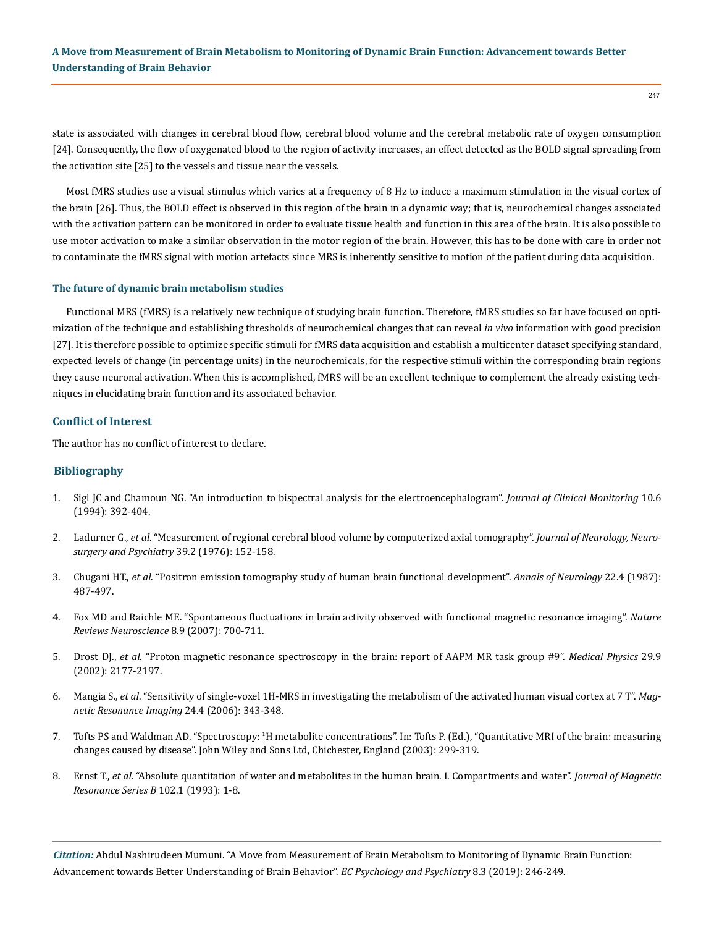state is associated with changes in cerebral blood flow, cerebral blood volume and the cerebral metabolic rate of oxygen consumption [24]. Consequently, the flow of oxygenated blood to the region of activity increases, an effect detected as the BOLD signal spreading from the activation site [25] to the vessels and tissue near the vessels.

Most fMRS studies use a visual stimulus which varies at a frequency of 8 Hz to induce a maximum stimulation in the visual cortex of the brain [26]. Thus, the BOLD effect is observed in this region of the brain in a dynamic way; that is, neurochemical changes associated with the activation pattern can be monitored in order to evaluate tissue health and function in this area of the brain. It is also possible to use motor activation to make a similar observation in the motor region of the brain. However, this has to be done with care in order not to contaminate the fMRS signal with motion artefacts since MRS is inherently sensitive to motion of the patient during data acquisition.

#### **The future of dynamic brain metabolism studies**

Functional MRS (fMRS) is a relatively new technique of studying brain function. Therefore, fMRS studies so far have focused on optimization of the technique and establishing thresholds of neurochemical changes that can reveal *in vivo* information with good precision [27]. It is therefore possible to optimize specific stimuli for fMRS data acquisition and establish a multicenter dataset specifying standard, expected levels of change (in percentage units) in the neurochemicals, for the respective stimuli within the corresponding brain regions they cause neuronal activation. When this is accomplished, fMRS will be an excellent technique to complement the already existing techniques in elucidating brain function and its associated behavior.

#### **Conflict of Interest**

The author has no conflict of interest to declare.

### **Bibliography**

- 1. [Sigl JC and Chamoun NG. "An introduction to bispectral analysis for the electroencephalogram".](https://link.springer.com/article/10.1007/BF01618421) *Journal of Clinical Monitoring* 10.6 [\(1994\): 392-404.](https://link.springer.com/article/10.1007/BF01618421)
- 2. Ladurner G., *et al*[. "Measurement of regional cerebral blood volume by computerized axial tomography".](https://www.ncbi.nlm.nih.gov/pubmed/1262889) *Journal of Neurology, Neuro[surgery and Psychiatry](https://www.ncbi.nlm.nih.gov/pubmed/1262889)* 39.2 (1976): 152-158.
- 3. Chugani HT., *et al*[. "Positron emission tomography study of human brain functional development".](https://www.ncbi.nlm.nih.gov/pubmed/3501693) *Annals of Neurology* 22.4 (1987): [487-497.](https://www.ncbi.nlm.nih.gov/pubmed/3501693)
- 4. [Fox MD and Raichle ME. "Spontaneous fluctuations in brain activity observed with functional magnetic resonance imaging".](https://www.ncbi.nlm.nih.gov/pubmed/17704812) *Nature [Reviews Neuroscience](https://www.ncbi.nlm.nih.gov/pubmed/17704812)* 8*.*9 (2007): 700-711.
- 5. Drost DJ., *et al*[. "Proton magnetic resonance spectroscopy in the brain: report of AAPM MR task group #9".](https://www.ncbi.nlm.nih.gov/pubmed/12349940) *Medical Physics* 29.9 [\(2002\): 2177-2197.](https://www.ncbi.nlm.nih.gov/pubmed/12349940)
- 6. Mangia S., *et al*[. "Sensitivity of single-voxel 1H-MRS in investigating the metabolism of the activated human visual cortex at 7 T".](https://www.ncbi.nlm.nih.gov/pubmed/16677939) *Mag[netic Resonance Imaging](https://www.ncbi.nlm.nih.gov/pubmed/16677939)* 24.4 (2006): 343-348.
- 7. Tofts PS and Waldman AD. "Spectroscopy: 1 [H metabolite concentrations". In: Tofts P. \(Ed.\), "Quantitative MRI of the brain: measuring](https://www.researchgate.net/publication/229628859_Spectroscopy_1H_Metabolite_Concentrations)  [changes caused by disease". John Wiley and Sons Ltd, Chichester, England \(2003\): 299-319.](https://www.researchgate.net/publication/229628859_Spectroscopy_1H_Metabolite_Concentrations)
- 8. Ernst T., *et al.* ["Absolute quantitation of water and metabolites in the human brain. I. Compartments and water".](https://www.sciencedirect.com/science/article/pii/S1064186683710551) *Journal of Magnetic [Resonance Series B](https://www.sciencedirect.com/science/article/pii/S1064186683710551)* 102.1 (1993): 1-8.

*Citation:* Abdul Nashirudeen Mumuni. "A Move from Measurement of Brain Metabolism to Monitoring of Dynamic Brain Function: Advancement towards Better Understanding of Brain Behavior". *EC Psychology and Psychiatry* 8.3 (2019): 246-249.

 $247$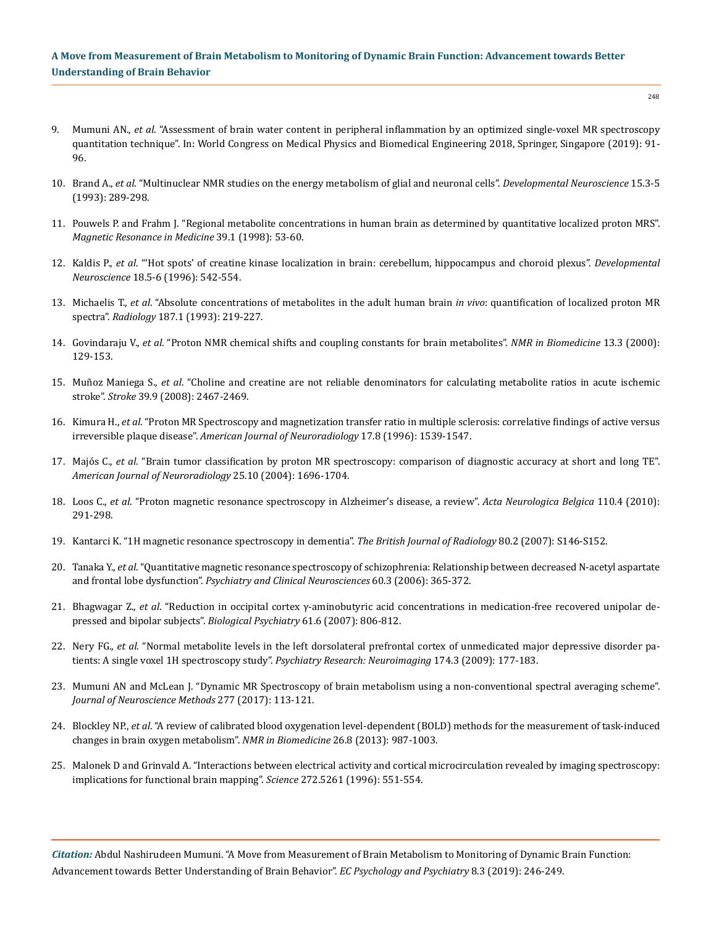$748$ 

- 9. Mumuni AN., *et al*[. "Assessment of brain water content in peripheral inflammation by an optimized single-voxel MR spectroscopy](https://link.springer.com/chapter/10.1007/978-981-10-9035-6_17) [quantitation technique". In: World Congress on Medical Physics and Biomedical Engineering 2018, Springer, Singapore \(2019\): 91-](https://link.springer.com/chapter/10.1007/978-981-10-9035-6_17) [96.](https://link.springer.com/chapter/10.1007/978-981-10-9035-6_17)
- 10. Brand A., *et al*[. "Multinuclear NMR studies on the energy metabolism of glial and neuronal cells".](https://www.ncbi.nlm.nih.gov/pubmed/7805581) *Developmental Neuroscience* 15.3-5 [\(1993\): 289-298.](https://www.ncbi.nlm.nih.gov/pubmed/7805581)
- 11. [Pouwels P. and Frahm J. "Regional metabolite concentrations in human brain as determined by quantitative localized proton MRS".](https://www.ncbi.nlm.nih.gov/pubmed/9438437)  *[Magnetic Resonance in Medicine](https://www.ncbi.nlm.nih.gov/pubmed/9438437)* 39.1 (1998): 53-60.
- 12. Kaldis P., *et al*[. "'Hot spots' of creatine kinase localization in brain: cerebellum, hippocampus and choroid plexus".](https://www.ncbi.nlm.nih.gov/pubmed/8940630) *Developmental Neuroscience* [18.5-6 \(1996\): 542-554.](https://www.ncbi.nlm.nih.gov/pubmed/8940630)
- 13. Michaelis T., *et al*[. "Absolute concentrations of metabolites in the adult human brain](https://www.ncbi.nlm.nih.gov/pubmed/8451417) *in vivo*: quantification of localized proton MR spectra". *Radiology* [187.1 \(1993\): 219-227.](https://www.ncbi.nlm.nih.gov/pubmed/8451417)
- 14. Govindaraju V., *et al*[. "Proton NMR chemical shifts and coupling constants for brain metabolites".](https://www.ncbi.nlm.nih.gov/pubmed/10861994) *NMR in Biomedicine* 13.3 (2000): [129-153.](https://www.ncbi.nlm.nih.gov/pubmed/10861994)
- 15. Muñoz Maniega S., *et al*[. "Choline and creatine are not reliable denominators for calculating metabolite ratios in acute ischemic](https://www.ncbi.nlm.nih.gov/pubmed/18617668) stroke". *Stroke* [39.9 \(2008\): 2467-2469.](https://www.ncbi.nlm.nih.gov/pubmed/18617668)
- 16. Kimura H., *et al*[. "Proton MR Spectroscopy and magnetization transfer ratio in multiple sclerosis: correlative findings of active versus](https://www.ncbi.nlm.nih.gov/pubmed/8883654) irreversible plaque disease". *[American Journal of Neuroradiology](https://www.ncbi.nlm.nih.gov/pubmed/8883654)* 17.8 (1996): 1539-1547.
- 17. Majós C., *et al*[. "Brain tumor classification by proton MR spectroscopy: comparison of diagnostic accuracy at short and long TE".](https://www.ncbi.nlm.nih.gov/pubmed/15569733) *[American Journal of Neuroradiology](https://www.ncbi.nlm.nih.gov/pubmed/15569733)* 25.10 (2004): 1696-1704.
- 18. Loos C., *et al*[. "Proton magnetic resonance spectroscopy in Alzheimer's disease, a review".](https://www.ncbi.nlm.nih.gov/pubmed/21305856) *Acta Neurologica Belgica* 110.4 (2010): [291-298.](https://www.ncbi.nlm.nih.gov/pubmed/21305856)
- 19. [Kantarci K. "1H magnetic resonance spectroscopy in dementia".](https://www.ncbi.nlm.nih.gov/pubmed/18445744) *The British Journal of Radiology* 80.2 (2007): S146-S152.
- 20. Tanaka Y., *et al*[. "Quantitative magnetic resonance spectroscopy of schizophrenia: Relationship between decreased N‐acetyl aspartate](https://www.ncbi.nlm.nih.gov/pubmed/16732755) and frontal lobe dysfunction". *[Psychiatry and Clinical Neurosciences](https://www.ncbi.nlm.nih.gov/pubmed/16732755)* 60.3 (2006): 365-372.
- 21. Bhagwagar Z., *et al*[. "Reduction in occipital cortex γ-aminobutyric acid concentrations in medication-free recovered unipolar de](https://www.ncbi.nlm.nih.gov/pubmed/17210135)[pressed and bipolar subjects".](https://www.ncbi.nlm.nih.gov/pubmed/17210135) *Biological Psychiatry* 61.6 (2007): 806-812.
- 22. Nery FG., *et al*[. "Normal metabolite levels in the left dorsolateral prefrontal cortex of unmedicated major depressive disorder pa](https://www.researchgate.net/publication/38086294_Normal_metabolite_levels_in_the_left_dorsolateral_prefrontal_cortex_of_unmedicated_major_depressive_disorder_patients_A_single_voxel_1H_spectroscopy_study)[tients: A single voxel 1H spectroscopy study".](https://www.researchgate.net/publication/38086294_Normal_metabolite_levels_in_the_left_dorsolateral_prefrontal_cortex_of_unmedicated_major_depressive_disorder_patients_A_single_voxel_1H_spectroscopy_study) *Psychiatry Research: Neuroimaging* 174.3 (2009): 177-183.
- 23. [Mumuni AN and McLean J. "Dynamic MR Spectroscopy of brain metabolism using a non-conventional spectral averaging scheme".](https://www.ncbi.nlm.nih.gov/pubmed/28012851) *[Journal of Neuroscience Methods](https://www.ncbi.nlm.nih.gov/pubmed/28012851)* 277 (2017): 113-121.
- 24. Blockley NP., *et al*[. "A review of calibrated blood oxygenation level-dependent \(BOLD\) methods for the measurement of task-induced](https://www.ncbi.nlm.nih.gov/pubmed/22945365) [changes in brain oxygen metabolism".](https://www.ncbi.nlm.nih.gov/pubmed/22945365) *NMR in Biomedicine* 26.8 (2013): 987-1003.
- 25. [Malonek D and Grinvald A. "Interactions between electrical activity and cortical microcirculation revealed by imaging spectroscopy:](https://www.ncbi.nlm.nih.gov/pubmed/8614805)  [implications for functional brain mapping".](https://www.ncbi.nlm.nih.gov/pubmed/8614805) *Science* 272.5261 (1996): 551-554.

*Citation:* Abdul Nashirudeen Mumuni. "A Move from Measurement of Brain Metabolism to Monitoring of Dynamic Brain Function: Advancement towards Better Understanding of Brain Behavior". *EC Psychology and Psychiatry* 8.3 (2019): 246-249.